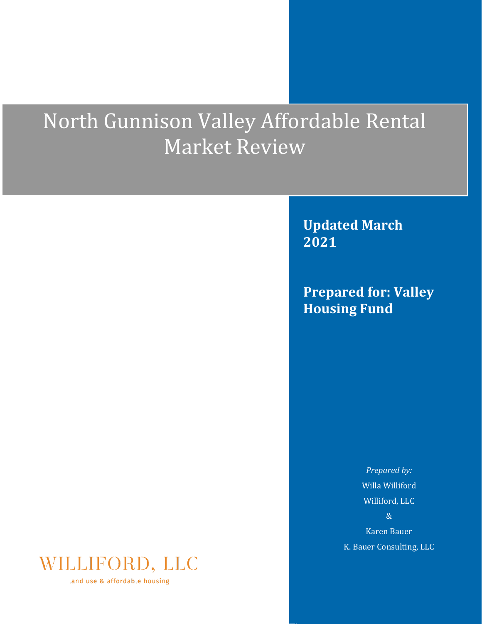# North Gunnison Valley Affordable Rental Market Review

**Updated March 2021**

**Prepared for: Valley Housing Fund** 

> *Prepared by:* Willa Williford Williford, LLC & Karen Bauer

K. Bauer Consulting, LLC



land use & affordable housing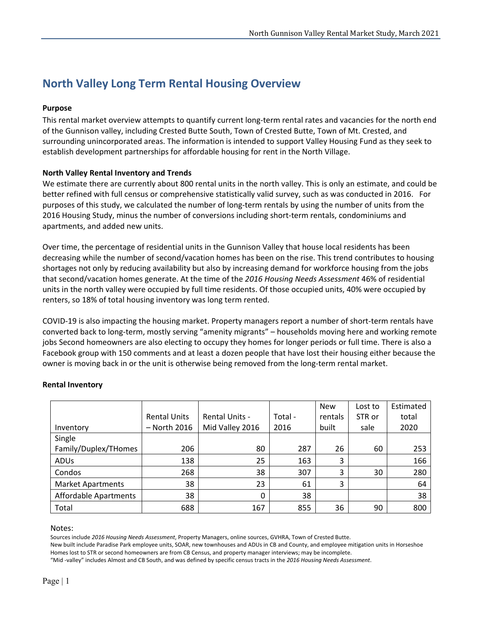# **North Valley Long Term Rental Housing Overview**

# **Purpose**

This rental market overview attempts to quantify current long-term rental rates and vacancies for the north end of the Gunnison valley, including Crested Butte South, Town of Crested Butte, Town of Mt. Crested, and surrounding unincorporated areas. The information is intended to support Valley Housing Fund as they seek to establish development partnerships for affordable housing for rent in the North Village.

# **North Valley Rental Inventory and Trends**

We estimate there are currently about 800 rental units in the north valley. This is only an estimate, and could be better refined with full census or comprehensive statistically valid survey, such as was conducted in 2016. For purposes of this study, we calculated the number of long-term rentals by using the number of units from the 2016 Housing Study, minus the number of conversions including short-term rentals, condominiums and apartments, and added new units.

Over time, the percentage of residential units in the Gunnison Valley that house local residents has been decreasing while the number of second/vacation homes has been on the rise. This trend contributes to housing shortages not only by reducing availability but also by increasing demand for workforce housing from the jobs that second/vacation homes generate. At the time of the *2016 Housing Needs Assessment* 46% of residential units in the north valley were occupied by full time residents. Of those occupied units, 40% were occupied by renters, so 18% of total housing inventory was long term rented.

COVID-19 is also impacting the housing market. Property managers report a number of short-term rentals have converted back to long-term, mostly serving "amenity migrants" – households moving here and working remote jobs Second homeowners are also electing to occupy they homes for longer periods or full time. There is also a Facebook group with 150 comments and at least a dozen people that have lost their housing either because the owner is moving back in or the unit is otherwise being removed from the long-term rental market.

|                              |                     |                       |         | <b>New</b> | Lost to | Estimated |
|------------------------------|---------------------|-----------------------|---------|------------|---------|-----------|
|                              | <b>Rental Units</b> | <b>Rental Units -</b> | Total - | rentals    | STR or  | total     |
| Inventory                    | - North 2016        | Mid Valley 2016       | 2016    | built      | sale    | 2020      |
| Single                       |                     |                       |         |            |         |           |
| Family/Duplex/THomes         | 206                 | 80                    | 287     | 26         | 60      | 253       |
| <b>ADUs</b>                  | 138                 | 25                    | 163     | 3          |         | 166       |
| Condos                       | 268                 | 38                    | 307     | 3          | 30      | 280       |
| <b>Market Apartments</b>     | 38                  | 23                    | 61      | 3          |         | 64        |
| <b>Affordable Apartments</b> | 38                  | 0                     | 38      |            |         | 38        |
| Total                        | 688                 | 167                   | 855     | 36         | 90      | 800       |

# **Rental Inventory**

#### Notes:

Sources include *2016 Housing Needs Assessment*, Property Managers, online sources, GVHRA, Town of Crested Butte.

New built include Paradise Park employee units, SOAR, new townhouses and ADUs in CB and County, and employee mitigation units in Horseshoe Homes lost to STR or second homeowners are from CB Census, and property manager interviews; may be incomplete.

"Mid -valley" includes Almost and CB South, and was defined by specific census tracts in the *2016 Housing Needs Assessment*.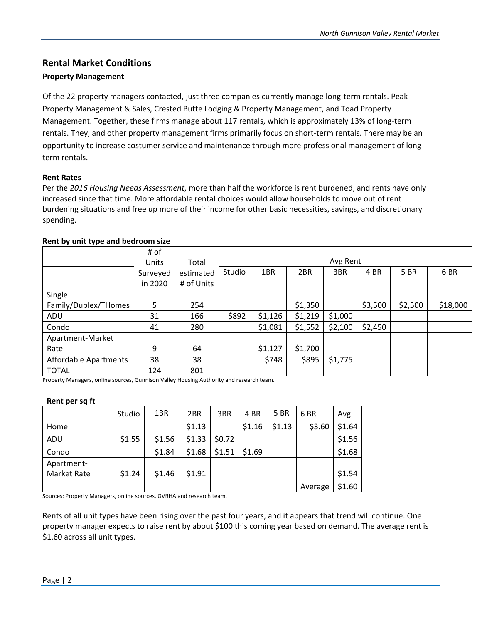# **Rental Market Conditions**

# **Property Management**

Of the 22 property managers contacted, just three companies currently manage long-term rentals. Peak Property Management & Sales, Crested Butte Lodging & Property Management, and Toad Property Management. Together, these firms manage about 117 rentals, which is approximately 13% of long-term rentals. They, and other property management firms primarily focus on short-term rentals. There may be an opportunity to increase costumer service and maintenance through more professional management of longterm rentals.

# **Rent Rates**

Per the *2016 Housing Needs Assessment*, more than half the workforce is rent burdened, and rents have only increased since that time. More affordable rental choices would allow households to move out of rent burdening situations and free up more of their income for other basic necessities, savings, and discretionary spending.

|                       | # of     |            |        |         |         |          |         |         |          |
|-----------------------|----------|------------|--------|---------|---------|----------|---------|---------|----------|
|                       | Units    | Total      |        |         |         | Avg Rent |         |         |          |
|                       | Surveyed | estimated  | Studio | 1BR     | 2BR     | 3BR      | 4 BR    | 5 BR    | 6 BR     |
|                       | in 2020  | # of Units |        |         |         |          |         |         |          |
| Single                |          |            |        |         |         |          |         |         |          |
| Family/Duplex/THomes  | 5        | 254        |        |         | \$1,350 |          | \$3,500 | \$2,500 | \$18,000 |
| ADU                   | 31       | 166        | \$892  | \$1,126 | \$1,219 | \$1,000  |         |         |          |
| Condo                 | 41       | 280        |        | \$1,081 | \$1,552 | \$2,100  | \$2,450 |         |          |
| Apartment-Market      |          |            |        |         |         |          |         |         |          |
| Rate                  | 9        | 64         |        | \$1,127 | \$1,700 |          |         |         |          |
| Affordable Apartments | 38       | 38         |        | \$748   | \$895   | \$1,775  |         |         |          |
| <b>TOTAL</b>          | 124      | 801        |        |         |         |          |         |         |          |

#### **Rent by unit type and bedroom size**

Property Managers, online sources, Gunnison Valley Housing Authority and research team.

# **Rent per sq ft**

|                    | Studio | 1BR    | 2BR    | 3BR    | 4 BR   | 5 BR   | 6 BR    | Avg    |
|--------------------|--------|--------|--------|--------|--------|--------|---------|--------|
| Home               |        |        | \$1.13 |        | \$1.16 | \$1.13 | \$3.60  | \$1.64 |
| ADU                | \$1.55 | \$1.56 | \$1.33 | \$0.72 |        |        |         | \$1.56 |
| Condo              |        | \$1.84 | \$1.68 | \$1.51 | \$1.69 |        |         | \$1.68 |
| Apartment-         |        |        |        |        |        |        |         |        |
| <b>Market Rate</b> | \$1.24 | \$1.46 | \$1.91 |        |        |        |         | \$1.54 |
|                    |        |        |        |        |        |        | Average | \$1.60 |

Sources: Property Managers, online sources, GVRHA and research team.

Rents of all unit types have been rising over the past four years, and it appears that trend will continue. One property manager expects to raise rent by about \$100 this coming year based on demand. The average rent is \$1.60 across all unit types.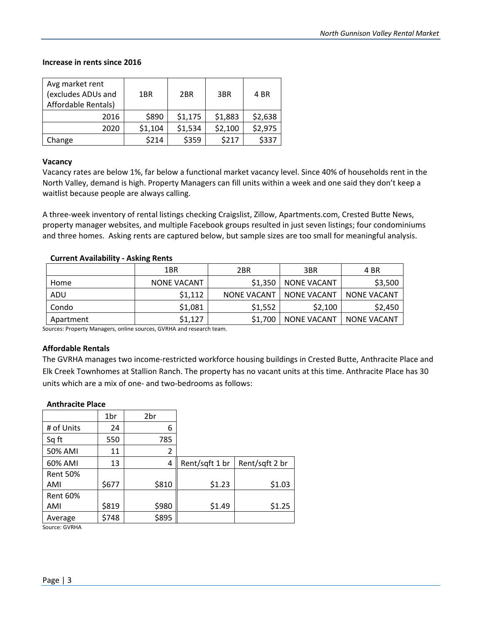#### **Increase in rents since 2016**

| Avg market rent     |         |                 |         |         |
|---------------------|---------|-----------------|---------|---------|
| (excludes ADUs and  | 1BR     | 2 <sub>BR</sub> | 3BR     | 4 BR    |
| Affordable Rentals) |         |                 |         |         |
| 2016                | \$890   | \$1,175         | \$1,883 | \$2,638 |
| 2020                | \$1,104 | \$1,534         | \$2,100 | \$2,975 |
| Change              | \$214   | \$359           | \$217   | \$337   |

#### **Vacancy**

Vacancy rates are below 1%, far below a functional market vacancy level. Since 40% of households rent in the North Valley, demand is high. Property Managers can fill units within a week and one said they don't keep a waitlist because people are always calling.

A three-week inventory of rental listings checking Craigslist, Zillow, Apartments.com, Crested Butte News, property manager websites, and multiple Facebook groups resulted in just seven listings; four condominiums and three homes. Asking rents are captured below, but sample sizes are too small for meaningful analysis.

# **Current Availability - Asking Rents**

|           | 1BR<br>2BR         |                    | 3BR                | 4 BR               |
|-----------|--------------------|--------------------|--------------------|--------------------|
| Home      | <b>NONE VACANT</b> | \$1,350            | NONE VACANT        | \$3,500            |
| ADU       | \$1,112            | <b>NONE VACANT</b> | NONE VACANT        | NONE VACANT        |
| Condo     | \$1,081            | \$1,552            | \$2,100            | \$2,450            |
| Apartment | \$1,127            | \$1.700            | <b>NONE VACANT</b> | <b>NONE VACANT</b> |

Sources: Property Managers, online sources, GVRHA and research team.

# **Affordable Rentals**

The GVRHA manages two income-restricted workforce housing buildings in Crested Butte, Anthracite Place and Elk Creek Townhomes at Stallion Ranch. The property has no vacant units at this time. Anthracite Place has 30 units which are a mix of one- and two-bedrooms as follows:

#### **Anthracite Place**

|                 | 1br   | 2br            |                |                |
|-----------------|-------|----------------|----------------|----------------|
| # of Units      | 24    | 6              |                |                |
| Sq ft           | 550   | 785            |                |                |
| 50% AMI         | 11    | $\overline{2}$ |                |                |
| 60% AMI         | 13    | 4              | Rent/sqft 1 br | Rent/sqft 2 br |
| <b>Rent 50%</b> |       |                |                |                |
| AMI             | \$677 | \$810          | \$1.23         | \$1.03         |
| <b>Rent 60%</b> |       |                |                |                |
| AMI             | \$819 | \$980          | \$1.49         | \$1.25         |
| Average         | \$748 | \$895          |                |                |

Source: GVRHA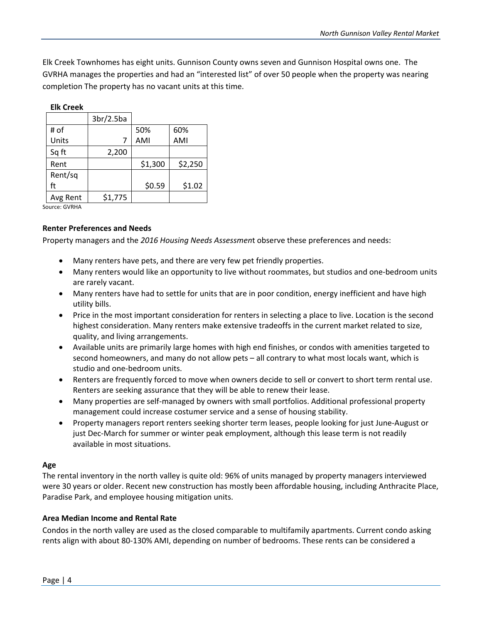Elk Creek Townhomes has eight units. Gunnison County owns seven and Gunnison Hospital owns one. The GVRHA manages the properties and had an "interested list" of over 50 people when the property was nearing completion The property has no vacant units at this time.

| <b>Elk Creek</b> |           |         |         |
|------------------|-----------|---------|---------|
|                  | 3br/2.5ba |         |         |
| # of             |           | 50%     | 60%     |
| Units            | 7         | AMI     | AMI     |
| Sq ft            | 2,200     |         |         |
| Rent             |           | \$1,300 | \$2,250 |
| Rent/sq          |           |         |         |
| ft               |           | \$0.59  | \$1.02  |
| Avg Rent         | \$1,775   |         |         |

Source: GVRHA

# **Renter Preferences and Needs**

Property managers and the *2016 Housing Needs Assessmen*t observe these preferences and needs:

- Many renters have pets, and there are very few pet friendly properties.
- Many renters would like an opportunity to live without roommates, but studios and one-bedroom units are rarely vacant.
- Many renters have had to settle for units that are in poor condition, energy inefficient and have high utility bills.
- Price in the most important consideration for renters in selecting a place to live. Location is the second highest consideration. Many renters make extensive tradeoffs in the current market related to size, quality, and living arrangements.
- Available units are primarily large homes with high end finishes, or condos with amenities targeted to second homeowners, and many do not allow pets – all contrary to what most locals want, which is studio and one-bedroom units.
- Renters are frequently forced to move when owners decide to sell or convert to short term rental use. Renters are seeking assurance that they will be able to renew their lease.
- Many properties are self-managed by owners with small portfolios. Additional professional property management could increase costumer service and a sense of housing stability.
- Property managers report renters seeking shorter term leases, people looking for just June-August or just Dec-March for summer or winter peak employment, although this lease term is not readily available in most situations.

# **Age**

The rental inventory in the north valley is quite old: 96% of units managed by property managers interviewed were 30 years or older. Recent new construction has mostly been affordable housing, including Anthracite Place, Paradise Park, and employee housing mitigation units.

# **Area Median Income and Rental Rate**

Condos in the north valley are used as the closed comparable to multifamily apartments. Current condo asking rents align with about 80-130% AMI, depending on number of bedrooms. These rents can be considered a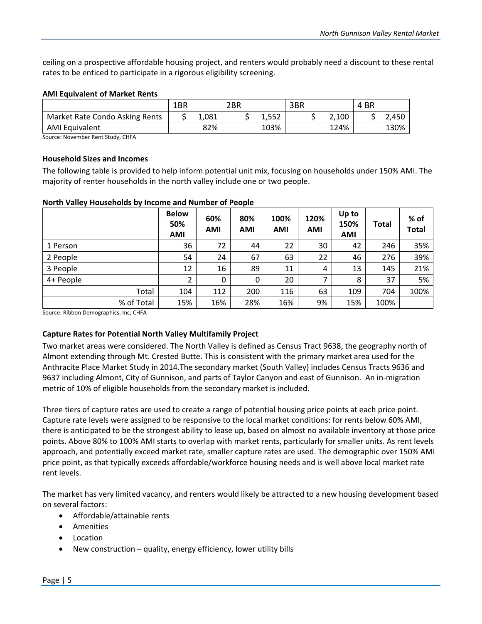ceiling on a prospective affordable housing project, and renters would probably need a discount to these rental rates to be enticed to participate in a rigorous eligibility screening.

# **AMI Equivalent of Market Rents**

|                                | 1BR |       | 2BR |                 | 3BR |       | BR<br>4 |       |
|--------------------------------|-----|-------|-----|-----------------|-----|-------|---------|-------|
| Market Rate Condo Asking Rents |     | 1,081 |     | E E C<br>ے تی ک |     | 2,100 |         | 2,450 |
| <b>AMI Equivalent</b>          |     | 82%   |     | 103%            |     | 124%  |         | 130%  |

Source: November Rent Study, CHFA

# **Household Sizes and Incomes**

The following table is provided to help inform potential unit mix, focusing on households under 150% AMI. The majority of renter households in the north valley include one or two people.

# **North Valley Households by Income and Number of People**

|            | <b>Below</b><br>50%<br><b>AMI</b> | 60%<br><b>AMI</b> | 80%<br>AMI | 100%<br><b>AMI</b> | 120%<br><b>AMI</b> | Up to<br>150%<br><b>AMI</b> | Total | % of<br><b>Total</b> |
|------------|-----------------------------------|-------------------|------------|--------------------|--------------------|-----------------------------|-------|----------------------|
| 1 Person   | 36                                | 72                | 44         | 22                 | 30                 | 42                          | 246   | 35%                  |
| 2 People   | 54                                | 24                | 67         | 63                 | 22                 | 46                          | 276   | 39%                  |
| 3 People   | 12                                | 16                | 89         | 11                 | 4                  | 13                          | 145   | 21%                  |
| 4+ People  | 2                                 | 0                 | $\Omega$   | 20                 | 7                  | 8                           | 37    | 5%                   |
| Total      | 104                               | 112               | 200        | 116                | 63                 | 109                         | 704   | 100%                 |
| % of Total | 15%                               | 16%               | 28%        | 16%                | 9%                 | 15%                         | 100%  |                      |

Source: Ribbon Demographics, Inc, CHFA

# **Capture Rates for Potential North Valley Multifamily Project**

Two market areas were considered. The North Valley is defined as Census Tract 9638, the geography north of Almont extending through Mt. Crested Butte. This is consistent with the primary market area used for the Anthracite Place Market Study in 2014.The secondary market (South Valley) includes Census Tracts 9636 and 9637 including Almont, City of Gunnison, and parts of Taylor Canyon and east of Gunnison. An in-migration metric of 10% of eligible households from the secondary market is included.

Three tiers of capture rates are used to create a range of potential housing price points at each price point. Capture rate levels were assigned to be responsive to the local market conditions: for rents below 60% AMI, there is anticipated to be the strongest ability to lease up, based on almost no available inventory at those price points. Above 80% to 100% AMI starts to overlap with market rents, particularly for smaller units. As rent levels approach, and potentially exceed market rate, smaller capture rates are used. The demographic over 150% AMI price point, as that typically exceeds affordable/workforce housing needs and is well above local market rate rent levels.

The market has very limited vacancy, and renters would likely be attracted to a new housing development based on several factors:

- Affordable/attainable rents
- Amenities
- Location
- New construction quality, energy efficiency, lower utility bills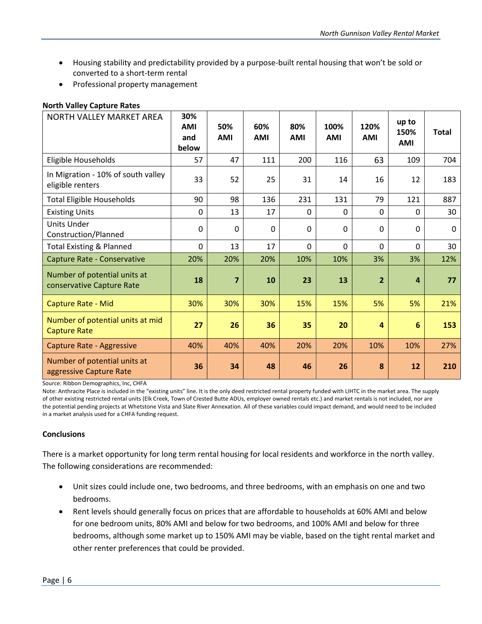- Housing stability and predictability provided by a purpose-built rental housing that won't be sold or converted to a short-term rental
- Professional property management

# **North Valley Capture Rates**

| NORTH VALLEY MARKET AREA                                  | 30%<br><b>AMI</b><br>and<br>below | 50%<br><b>AMI</b> | 60%<br><b>AMI</b> | 80%<br><b>AMI</b> | 100%<br><b>AMI</b> | 120%<br><b>AMI</b> | up to<br>150%<br><b>AMI</b> | <b>Total</b> |
|-----------------------------------------------------------|-----------------------------------|-------------------|-------------------|-------------------|--------------------|--------------------|-----------------------------|--------------|
| Eligible Households                                       | 57                                | 47                | 111               | 200               | 116                | 63                 | 109                         | 704          |
| In Migration - 10% of south valley<br>eligible renters    | 33                                | 52                | 25                | 31                | 14                 | 16                 | 12                          | 183          |
| <b>Total Eligible Households</b>                          | 90                                | 98                | 136               | 231               | 131                | 79                 | 121                         | 887          |
| <b>Existing Units</b>                                     | 0                                 | 13                | 17                | $\Omega$          | 0                  | 0                  | $\Omega$                    | 30           |
| <b>Units Under</b><br>Construction/Planned                | $\mathbf 0$                       | $\Omega$          | $\Omega$          | $\Omega$          | 0                  | $\Omega$           | $\mathbf 0$                 | $\mathbf 0$  |
| <b>Total Existing &amp; Planned</b>                       | $\mathbf 0$                       | 13                | 17                | $\Omega$          | 0                  | $\Omega$           | 0                           | 30           |
| Capture Rate - Conservative                               | 20%                               | 20%               | 20%               | 10%               | 10%                | 3%                 | 3%                          | 12%          |
| Number of potential units at<br>conservative Capture Rate | 18                                | $\overline{7}$    | 10                | 23                | 13                 | $\overline{2}$     | $\overline{4}$              | 77           |
| Capture Rate - Mid                                        | 30%                               | 30%               | 30%               | 15%               | 15%                | 5%                 | 5%                          | 21%          |
| Number of potential units at mid<br><b>Capture Rate</b>   | 27                                | 26                | 36                | 35                | 20                 | $\overline{a}$     | $6\phantom{1}6$             | 153          |
| Capture Rate - Aggressive                                 | 40%                               | 40%               | 40%               | 20%               | 20%                | 10%                | 10%                         | 27%          |
| Number of potential units at<br>aggressive Capture Rate   | 36                                | 34                | 48                | 46                | 26                 | 8                  | 12                          | 210          |

Source: Ribbon Demographics, Inc, CHFA

Note: Anthracite Place is included in the "existing units" line. It is the only deed restricted rental property funded with LIHTC in the market area. The supply of other existing restricted rental units (Elk Creek, Town of Crested Butte ADUs, employer owned rentals etc.) and market rentals is not included, nor are the potential pending projects at Whetstone Vista and Slate River Annexation. All of these variables could impact demand, and would need to be included in a market analysis used for a CHFA funding request.

# **Conclusions**

There is a market opportunity for long term rental housing for local residents and workforce in the north valley. The following considerations are recommended:

- Unit sizes could include one, two bedrooms, and three bedrooms, with an emphasis on one and two bedrooms.
- Rent levels should generally focus on prices that are affordable to households at 60% AMI and below for one bedroom units, 80% AMI and below for two bedrooms, and 100% AMI and below for three bedrooms, although some market up to 150% AMI may be viable, based on the tight rental market and other renter preferences that could be provided.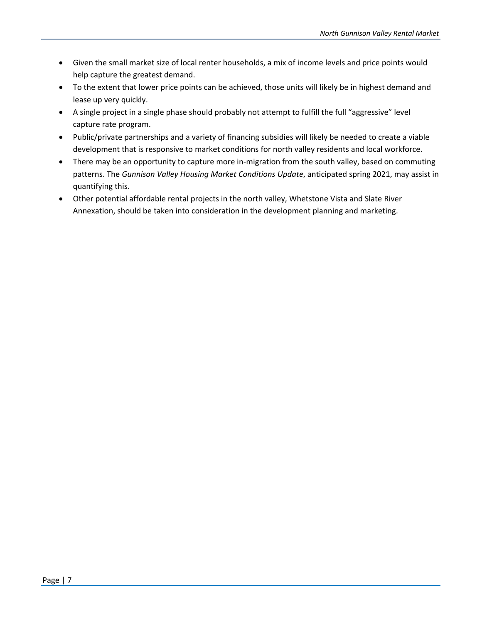- Given the small market size of local renter households, a mix of income levels and price points would help capture the greatest demand.
- To the extent that lower price points can be achieved, those units will likely be in highest demand and lease up very quickly.
- A single project in a single phase should probably not attempt to fulfill the full "aggressive" level capture rate program.
- Public/private partnerships and a variety of financing subsidies will likely be needed to create a viable development that is responsive to market conditions for north valley residents and local workforce.
- There may be an opportunity to capture more in-migration from the south valley, based on commuting patterns. The *Gunnison Valley Housing Market Conditions Update*, anticipated spring 2021, may assist in quantifying this.
- Other potential affordable rental projects in the north valley, Whetstone Vista and Slate River Annexation, should be taken into consideration in the development planning and marketing.